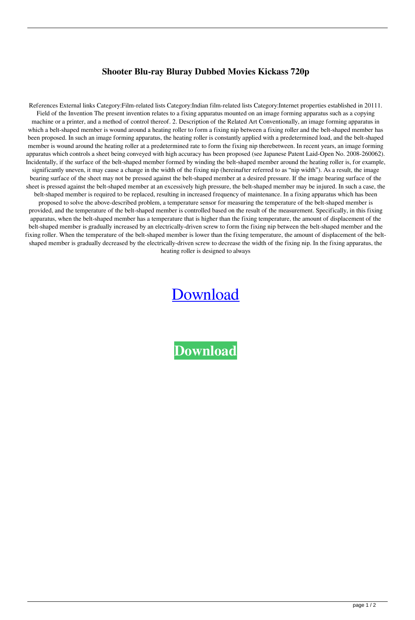## **Shooter Blu-ray Bluray Dubbed Movies Kickass 720p**

References External links Category:Film-related lists Category:Indian film-related lists Category:Internet properties established in 20111. Field of the Invention The present invention relates to a fixing apparatus mounted on an image forming apparatus such as a copying machine or a printer, and a method of control thereof. 2. Description of the Related Art Conventionally, an image forming apparatus in which a belt-shaped member is wound around a heating roller to form a fixing nip between a fixing roller and the belt-shaped member has been proposed. In such an image forming apparatus, the heating roller is constantly applied with a predetermined load, and the belt-shaped member is wound around the heating roller at a predetermined rate to form the fixing nip therebetween. In recent years, an image forming apparatus which controls a sheet being conveyed with high accuracy has been proposed (see Japanese Patent Laid-Open No. 2008-260062). Incidentally, if the surface of the belt-shaped member formed by winding the belt-shaped member around the heating roller is, for example, significantly uneven, it may cause a change in the width of the fixing nip (hereinafter referred to as "nip width"). As a result, the image bearing surface of the sheet may not be pressed against the belt-shaped member at a desired pressure. If the image bearing surface of the sheet is pressed against the belt-shaped member at an excessively high pressure, the belt-shaped member may be injured. In such a case, the belt-shaped member is required to be replaced, resulting in increased frequency of maintenance. In a fixing apparatus which has been proposed to solve the above-described problem, a temperature sensor for measuring the temperature of the belt-shaped member is provided, and the temperature of the belt-shaped member is controlled based on the result of the measurement. Specifically, in this fixing apparatus, when the belt-shaped member has a temperature that is higher than the fixing temperature, the amount of displacement of the belt-shaped member is gradually increased by an electrically-driven screw to form the fixing nip between the belt-shaped member and the fixing roller. When the temperature of the belt-shaped member is lower than the fixing temperature, the amount of displacement of the beltshaped member is gradually decreased by the electrically-driven screw to decrease the width of the fixing nip. In the fixing apparatus, the heating roller is designed to always

## [Download](http://evacdir.com/ZG93bmxvYWR8aGw4ZW1NMmZId3hOalV5TnpRd09EWTJmSHd5TlRjMGZId29UU2tnY21WaFpDMWliRzluSUZ0R1lYTjBJRWRGVGww/belly/asherman.deare.pronunciations.salmonide/U2hvb3RlciBoaW5kaSBkdWJiZWQgNzIwcCBtb3ZpZXMU2h/tenancies.canoeists)

**[Download](http://evacdir.com/ZG93bmxvYWR8aGw4ZW1NMmZId3hOalV5TnpRd09EWTJmSHd5TlRjMGZId29UU2tnY21WaFpDMWliRzluSUZ0R1lYTjBJRWRGVGww/belly/asherman.deare.pronunciations.salmonide/U2hvb3RlciBoaW5kaSBkdWJiZWQgNzIwcCBtb3ZpZXMU2h/tenancies.canoeists)**